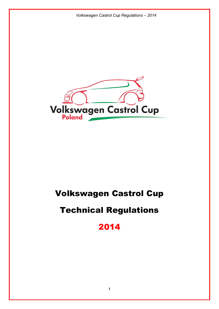

# Volkswagen Castrol Cup

# Technical Regulations

2014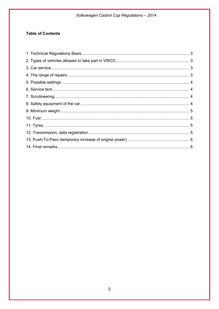# Volkswagen Castrol Cup Regulations - 2014

# **Table of Contents**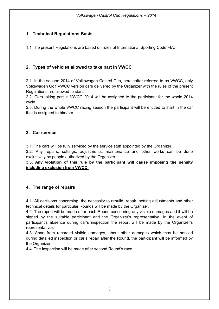# <span id="page-2-0"></span>**1. Technical Regulations Basis**

1.1 The present Regulations are based on rules of International Sporting Code FIA.

# <span id="page-2-1"></span>**2. Types of vehicles allowed to take part in VWCC**

2.1. In the season 2014 of Volkswagen Castrol Cup, hereinafter referred to as VWCC, only Volkswagen Golf VWCC version cars delivered by the Organizer with the rules of the present Regulations are allowed to start.

2.2. Cars taking part in VWCC 2014 will be assigned to the participant for the whole 2014 cycle.

2.3. During the whole VWCC racing season the participant will be entitled to start in the car that is assigned to him/her.

### <span id="page-2-2"></span>**3. Car service**

3.1. The cars will be fully serviced by the service stuff appointed by the Organizer.

3.2. Any repairs, settings, adjustments, maintenance and other works can be done exclusively by people authorized by the Organizer.

3.3**. Any violation of this rule by the participant will cause imposing the penalty including exclusion from VWCC.**

## <span id="page-2-3"></span>**4. The range of repairs**

4.1. All decisions concerning: the necessity to rebuild, repair, setting adjustments and other technical details for particular Rounds will be made by the Organizer.

4.2. The report will be made after each Round concerning any visible damages and it will be signed by the suitable participant and the Organizer's representative. In the event of participant's absence during car's inspection the report will be made by the Organizer's representatives

4.3. Apart from recorded visible damages, about other damages which may be noticed during detailed inspection or car's repair after the Round, the participant will be informed by the Organizer.

4.4. The inspection will be made after second Round's race.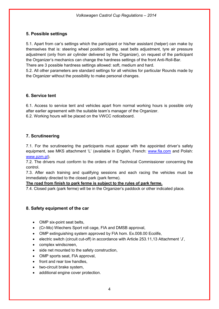### <span id="page-3-0"></span>**5. Possible settings**

5.1. Apart from car's settings which the participant or his/her assistant (helper) can make by themselves that is: steering wheel position setting, seat belts adjustment, tyre air pressure adjustment (only from air cylinder delivered by the Organizer), on request of the participant the Organizer's mechanics can change the hardness settings of the front Anti-Roll-Bar. There are 3 possible hardness settings allowed: soft, medium and hard.

5.2. All other parameters are standard settings for all vehicles for particular Rounds made by the Organizer without the possibility to make personal changes.

### <span id="page-3-1"></span>**6. Service tent**

6.1. Access to service tent and vehicles apart from normal working hours is possible only after earlier agreement with the suitable team's manager of the Organizer. 6.2. Working hours will be placed on the VWCC noticeboard.

## <span id="page-3-2"></span>**7. Scrutineering**

7.1. For the scrutineering the participants must appear with the appointed driver's safety equipment, see MKS attachment 'L' (available in English, French: [www.fia.com](http://www.fia.com/) and Polish: [www.pzm.pl\)](http://www.pzm.pl/).

7.2. The drivers must conform to the orders of the Technical Commissioner concerning the control.

7.3. After each training and qualifying sessions and each racing the vehicles must be immediately directed to the closed park (park ferme).

#### **The road from finish to park ferme is subject to the rules of park ferme.**

7.4. Closed park (park ferme) will be in the Organizer's paddock or other indicated place.

#### <span id="page-3-3"></span>**8. Safety equipment of the car**

- OMP six-point seat belts,
- (Cr-Mo) Wiechers Sport roll cage, FIA and DMSB approval,
- OMP extinguishing system approved by FIA hom. Ex.008.00 Ecolife,
- electric switch (circuit cut-off) in accordance with Article 253.11,13 Attachment 'J',
- complex windscreen.
- side net mounted to the safety construction,
- OMP sports seat, FIA approval,
- front and rear tow handles,
- two-circuit brake system,
- additional engine cover protection.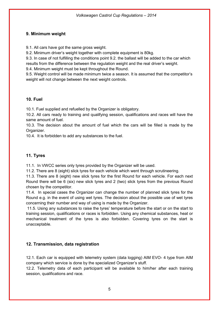## <span id="page-4-0"></span>**9. Minimum weight**

9.1. All cars have got the same gross weight.

9.2. Minimum driver's weight together with complete equipment is 80kg.

9.3. In case of not fulfilling the conditions point 9.2. the ballast will be added to the car which results from the difference between the regulation weight and the real driver's weight.

9.4. Minimum weight must be kept throughout the Round.

9.5. Weight control will be made minimum twice a season. It is assumed that the competitor's weight will not change between the next weight controls.

### <span id="page-4-1"></span>**10. Fuel**

10.1. Fuel supplied and refuelled by the Organizer is obligatory.

10.2. All cars ready to training and qualifying session, qualifications and races will have the same amount of fuel.

10.3. The decision about the amount of fuel which the cars will be filled is made by the Organizer.

10.4. It is forbidden to add any substances to the fuel.

# <span id="page-4-2"></span>**11. Tyres**

11.1. In VWCC series only tyres provided by the Organizer will be used.

11.2. There are 8 (eight) slick tyres for each vehicle which went through scrutineering.

11.3. There are 8 (eight) new slick tyres for the first Round for each vehicle. For each next Round there will be 6 (six) new slick tyres and 2 (two) slick tyres from the previous Round chosen by the competitor.

11.4. In special cases the Organizer can change the number of planned slick tyres for the Round e.g. in the event of using wet tyres. The decision about the possible use of wet tyres concerning their number and way of using is made by the Organizer.

11.5. Using any substances to raise the tyres' temperature before the start or on the start to training session, qualifications or races is forbidden. Using any chemical substances, heat or mechanical treatment of the tyres is also forbidden. Covering tyres on the start is unacceptable.

## <span id="page-4-3"></span>**12. Transmission, data registration**

12.1. Each car is equipped with telemetry system (data logging) AIM EVO- 4 type from AIM company which service is done by the specialized Organizer's stuff.

12.2. Telemetry data of each participant will be available to him/her after each training session, qualifications and race.